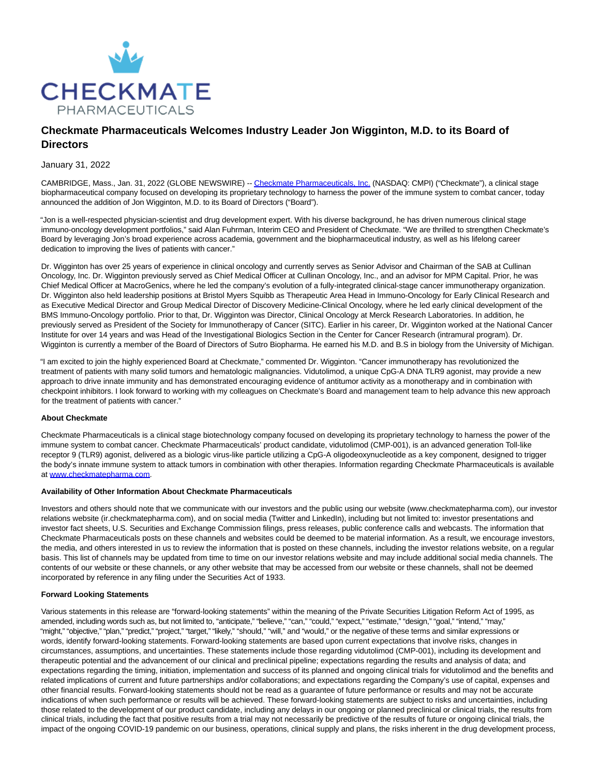

# **Checkmate Pharmaceuticals Welcomes Industry Leader Jon Wigginton, M.D. to its Board of Directors**

## January 31, 2022

CAMBRIDGE, Mass., Jan. 31, 2022 (GLOBE NEWSWIRE) -[- Checkmate Pharmaceuticals, Inc. \(](https://www.globenewswire.com/Tracker?data=6it3A3z6oXHpwy5A1tqrC8GHNq4J3nEchSSHse1LAuUkAOJF6JUB0wvBuImJ1Ilp3aJq5iDhzAxrTleJWOn_5WjRPeHa40bscy57ErAEybjMqv05VX0yaVKrLqVxrz8R)NASDAQ: CMPI) ("Checkmate"), a clinical stage biopharmaceutical company focused on developing its proprietary technology to harness the power of the immune system to combat cancer, today announced the addition of Jon Wigginton, M.D. to its Board of Directors ("Board").

"Jon is a well-respected physician-scientist and drug development expert. With his diverse background, he has driven numerous clinical stage immuno-oncology development portfolios," said Alan Fuhrman, Interim CEO and President of Checkmate. "We are thrilled to strengthen Checkmate's Board by leveraging Jon's broad experience across academia, government and the biopharmaceutical industry, as well as his lifelong career dedication to improving the lives of patients with cancer."

Dr. Wigginton has over 25 years of experience in clinical oncology and currently serves as Senior Advisor and Chairman of the SAB at Cullinan Oncology, Inc. Dr. Wigginton previously served as Chief Medical Officer at Cullinan Oncology, Inc., and an advisor for MPM Capital. Prior, he was Chief Medical Officer at MacroGenics, where he led the company's evolution of a fully-integrated clinical-stage cancer immunotherapy organization. Dr. Wigginton also held leadership positions at Bristol Myers Squibb as Therapeutic Area Head in Immuno-Oncology for Early Clinical Research and as Executive Medical Director and Group Medical Director of Discovery Medicine-Clinical Oncology, where he led early clinical development of the BMS Immuno-Oncology portfolio. Prior to that, Dr. Wigginton was Director, Clinical Oncology at Merck Research Laboratories. In addition, he previously served as President of the Society for Immunotherapy of Cancer (SITC). Earlier in his career, Dr. Wigginton worked at the National Cancer Institute for over 14 years and was Head of the Investigational Biologics Section in the Center for Cancer Research (intramural program). Dr. Wigginton is currently a member of the Board of Directors of Sutro Biopharma. He earned his M.D. and B.S in biology from the University of Michigan.

"I am excited to join the highly experienced Board at Checkmate," commented Dr. Wigginton. "Cancer immunotherapy has revolutionized the treatment of patients with many solid tumors and hematologic malignancies. Vidutolimod, a unique CpG-A DNA TLR9 agonist, may provide a new approach to drive innate immunity and has demonstrated encouraging evidence of antitumor activity as a monotherapy and in combination with checkpoint inhibitors. I look forward to working with my colleagues on Checkmate's Board and management team to help advance this new approach for the treatment of patients with cancer."

### **About Checkmate**

Checkmate Pharmaceuticals is a clinical stage biotechnology company focused on developing its proprietary technology to harness the power of the immune system to combat cancer. Checkmate Pharmaceuticals' product candidate, vidutolimod (CMP-001), is an advanced generation Toll-like receptor 9 (TLR9) agonist, delivered as a biologic virus-like particle utilizing a CpG-A oligodeoxynucleotide as a key component, designed to trigger the body's innate immune system to attack tumors in combination with other therapies. Information regarding Checkmate Pharmaceuticals is available at [www.checkmatepharma.com.](https://www.globenewswire.com/Tracker?data=-eoulGY5cDYpH-aCbR9avPo63KrCww-iBqT38W8HVSDWlJ8jHUbB526JJx5IsbWP3cmSAo04fKEX2hhhNHGQs_-6tpJeCKjVQSLdk3Zr5TI=)

#### **Availability of Other Information About Checkmate Pharmaceuticals**

Investors and others should note that we communicate with our investors and the public using our website (www.checkmatepharma.com), our investor relations website (ir.checkmatepharma.com), and on social media (Twitter and LinkedIn), including but not limited to: investor presentations and investor fact sheets, U.S. Securities and Exchange Commission filings, press releases, public conference calls and webcasts. The information that Checkmate Pharmaceuticals posts on these channels and websites could be deemed to be material information. As a result, we encourage investors, the media, and others interested in us to review the information that is posted on these channels, including the investor relations website, on a regular basis. This list of channels may be updated from time to time on our investor relations website and may include additional social media channels. The contents of our website or these channels, or any other website that may be accessed from our website or these channels, shall not be deemed incorporated by reference in any filing under the Securities Act of 1933.

### **Forward Looking Statements**

Various statements in this release are "forward-looking statements" within the meaning of the Private Securities Litigation Reform Act of 1995, as amended, including words such as, but not limited to, "anticipate," "believe," "can," "could," "expect," "estimate," "design," "goal," "intend," "may," "might," "objective," "plan," "predict," "project," "target," "likely," "should," "will," and "would," or the negative of these terms and similar expressions or words, identify forward-looking statements. Forward-looking statements are based upon current expectations that involve risks, changes in circumstances, assumptions, and uncertainties. These statements include those regarding vidutolimod (CMP-001), including its development and therapeutic potential and the advancement of our clinical and preclinical pipeline; expectations regarding the results and analysis of data; and expectations regarding the timing, initiation, implementation and success of its planned and ongoing clinical trials for vidutolimod and the benefits and related implications of current and future partnerships and/or collaborations; and expectations regarding the Company's use of capital, expenses and other financial results. Forward-looking statements should not be read as a guarantee of future performance or results and may not be accurate indications of when such performance or results will be achieved. These forward-looking statements are subject to risks and uncertainties, including those related to the development of our product candidate, including any delays in our ongoing or planned preclinical or clinical trials, the results from clinical trials, including the fact that positive results from a trial may not necessarily be predictive of the results of future or ongoing clinical trials, the impact of the ongoing COVID-19 pandemic on our business, operations, clinical supply and plans, the risks inherent in the drug development process,